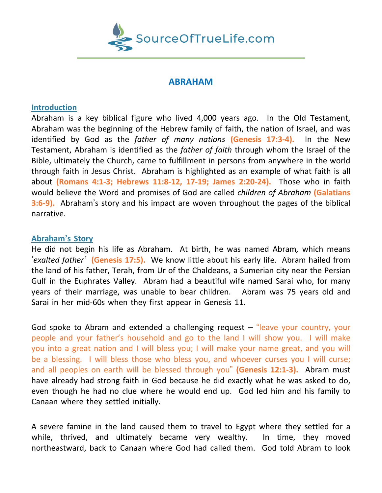

# **ABRAHAM**

### **Introduction**

Abraham is a key biblical figure who lived 4,000 years ago. In the Old Testament, Abraham was the beginning of the Hebrew family of faith, the nation of Israel, and was identified by God as the *father of many nations* **(Genesis 17:3-4).** In the New Testament, Abraham is identified as the *father of faith* through whom the Israel of the Bible, ultimately the Church, came to fulfillment in persons from anywhere in the world through faith in Jesus Christ. Abraham is highlighted as an example of what faith is all about **(Romans 4:1-3; Hebrews 11:8-12, 17-19; James 2:20-24).** Those who in faith would believe the Word and promises of God are called *children of Abraham* **(Galatians 3:6-9).** Abraham's story and his impact are woven throughout the pages of the biblical narrative.

### **Abraham's Story**

He did not begin his life as Abraham. At birth, he was named Abram*,* which means '*exalted father'* **(Genesis 17:5).** We know little about his early life. Abram hailed from the land of his father, Terah, from Ur of the Chaldeans, a Sumerian city near the Persian Gulf in the Euphrates Valley. Abram had a beautiful wife named Sarai who, for many years of their marriage, was unable to bear children. Abram was 75 years old and Sarai in her mid-60s when they first appear in Genesis 11.

God spoke to Abram and extended a challenging request – "leave your country, your people and your father's household and go to the land I will show you. I will make you into a great nation and I will bless you; I will make your name great, and you will be a blessing. I will bless those who bless you, and whoever curses you I will curse; and all peoples on earth will be blessed through you" **(Genesis 12:1-3).** Abram must have already had strong faith in God because he did exactly what he was asked to do, even though he had no clue where he would end up. God led him and his family to Canaan where they settled initially.

A severe famine in the land caused them to travel to Egypt where they settled for a while, thrived, and ultimately became very wealthy. In time, they moved northeastward, back to Canaan where God had called them. God told Abram to look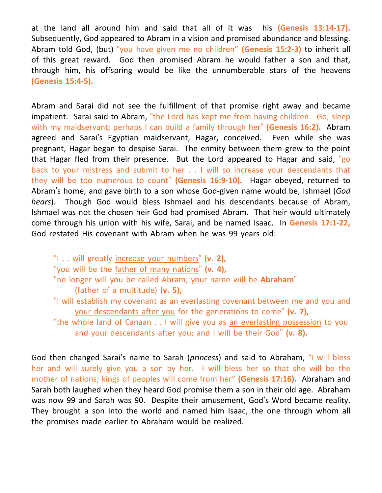at the land all around him and said that all of it was his **(Genesis 13:14-17).** Subsequently, God appeared to Abram in a vision and promised abundance and blessing. Abram told God, (but) "you have given me no children" **(Genesis 15:2-3)** to inherit all of this great reward. God then promised Abram he would father a son and that, through him, his offspring would be like the unnumberable stars of the heavens **(Genesis 15:4-5).**

Abram and Sarai did not see the fulfillment of that promise right away and became impatient. Sarai said to Abram, "the Lord has kept me from having children. Go, sleep with my maidservant; perhaps I can build a family through her" **(Genesis 16:2).** Abram agreed and Sarai's Egyptian maidservant, Hagar, conceived. Even while she was pregnant, Hagar began to despise Sarai. The enmity between them grew to the point that Hagar fled from their presence. But the Lord appeared to Hagar and said, "go back to your mistress and submit to her . . I will so increase your descendants that they will be too numerous to count" **(Genesis 16:9-10).** Hagar obeyed, returned to Abram's home, and gave birth to a son whose God-given name would be, Ishmael (*God hears*). Though God would bless Ishmael and his descendants because of Abram, Ishmael was not the chosen heir God had promised Abram. That heir would ultimately come through his union with his wife, Sarai, and be named Isaac. In **Genesis 17:1-22,** God restated His covenant with Abram when he was 99 years old:

"I . . will greatly increase your numbers" **(v. 2),** "you will be the father of many nations" **(v. 4),** "no longer will you be called Abram; your name will be **Abraham**" (father of a multitude) **(v. 5),** "I will establish my covenant as an everlasting covenant between me and you and your descendants after you for the generations to come" **(v. 7),** "the whole land of Canaan . . I will give you as an everlasting possession to you and your descendants after you; and I will be their God" **(v. 8).**

God then changed Sarai's name to Sarah (*princess*) and said to Abraham, "I will bless her and will surely give you a son by her. I will bless her so that she will be the mother of nations; kings of peoples will come from her" **(Genesis 17:16).** Abraham and Sarah both laughed when they heard God promise them a son in their old age. Abraham was now 99 and Sarah was 90. Despite their amusement, God's Word became reality. They brought a son into the world and named him Isaac, the one through whom all the promises made earlier to Abraham would be realized.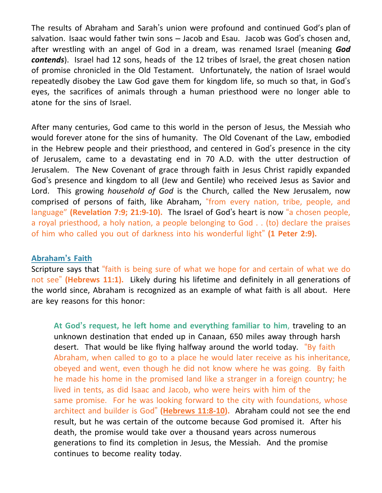The results of Abraham and Sarah's union were profound and continued God's plan of salvation. Isaac would father twin sons – Jacob and Esau. Jacob was God's chosen and, after wrestling with an angel of God in a dream, was renamed Israel (meaning *God contends*). Israel had 12 sons, heads of the 12 tribes of Israel, the great chosen nation of promise chronicled in the Old Testament. Unfortunately, the nation of Israel would repeatedly disobey the Law God gave them for kingdom life, so much so that, in God's eyes, the sacrifices of animals through a human priesthood were no longer able to atone for the sins of Israel.

After many centuries, God came to this world in the person of Jesus, the Messiah who would forever atone for the sins of humanity. The Old Covenant of the Law, embodied in the Hebrew people and their priesthood, and centered in God's presence in the city of Jerusalem, came to a devastating end in 70 A.D. with the utter destruction of Jerusalem. The New Covenant of grace through faith in Jesus Christ rapidly expanded God's presence and kingdom to all (Jew and Gentile) who received Jesus as Savior and Lord. This growing *household of God* is the Church, called the New Jerusalem, now comprised of persons of faith, like Abraham, "from every nation, tribe, people, and language" **(Revelation 7:9; 21:9-10).** The Israel of God's heart is now "a chosen people, a royal priesthood, a holy nation, a people belonging to God . . (to) declare the praises of him who called you out of darkness into his wonderful light" **(1 Peter 2:9).**

#### **Abraham's Faith**

Scripture says that "faith is being sure of what we hope for and certain of what we do not see" **(Hebrews 11:1).** Likely during his lifetime and definitely in all generations of the world since, Abraham is recognized as an example of what faith is all about. Here are key reasons for this honor:

**At God's request, he left home and everything familiar to him**, traveling to an unknown destination that ended up in Canaan, 650 miles away through harsh desert. That would be like flying halfway around the world today. "By faith Abraham, when called to go to a place he would later receive as his inheritance, obeyed and went, even though he did not know where he was going. By faith he made his home in the promised land like a stranger in a foreign country; he lived in tents, as did Isaac and Jacob, who were heirs with him of the same promise. For he was looking forward to the city with foundations, whose architect and builder is God" **[\(Hebrews](https://biblia.com/bible/esv/Heb%2011.8) 11:8-10).** Abraham could not see the end result, but he was certain of the outcome because God promised it. After his death, the promise would take over a thousand years across numerous generations to find its completion in Jesus, the Messiah. And the promise continues to become reality today.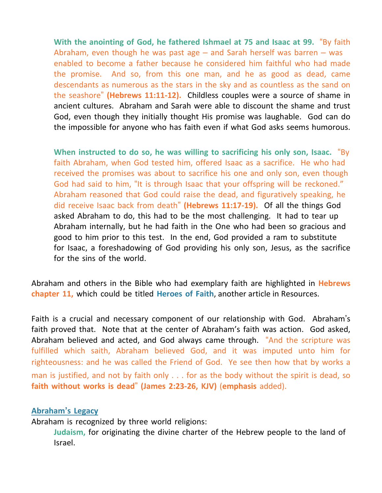**With the anointing of God, he fathered Ishmael at 75 and Isaac at 99.** "By faith Abraham, even though he was past age  $-$  and Sarah herself was barren  $-$  was enabled to become a father because he considered him faithful who had made the promise. And so, from this one man, and he as good as dead, came descendants as numerous as the stars in the sky and as countless as the sand on the seashore" **(Hebrews 11:11-12).** Childless couples were a source of shame in ancient cultures. Abraham and Sarah were able to discount the shame and trust God, even though they initially thought His promise was laughable. God can do the impossible for anyone who has faith even if what God asks seems humorous.

**When instructed to do so, he was willing to sacrificing his only son, Isaac.** "By faith Abraham, when God tested him, offered Isaac as a sacrifice. He who had received the promises was about to sacrifice his one and only son, even though God had said to him, "It is through Isaac that your offspring will be reckoned." Abraham reasoned that God could raise the dead, and figuratively speaking, he did receive Isaac back from death" **(Hebrews 11:17-19).** Of all the things God asked Abraham to do, this had to be the most challenging. It had to tear up Abraham internally, but he had faith in the One who had been so gracious and good to him prior to this test. In the end, God provided a ram to substitute for Isaac, a foreshadowing of God providing his only son, Jesus, as the sacrifice for the sins of the world.

Abraham and others in the Bible who had exemplary faith are highlighted in **Hebrews chapter 11,** which could be titled **Heroes of Faith**, another article in Resources.

Faith is a crucial and necessary component of our relationship with God. Abraham's faith proved that. Note that at the center of Abraham's faith was action. God asked, Abraham believed and acted, and God always came through. "And the scripture was fulfilled which saith, Abraham believed God, and it was imputed unto him for righteousness: and he was called the Friend of God. Ye see then how that by works a man is justified, and not by faith only . . . for as the body without the spirit is dead, so **faith without works is dead**" **(James 2:23-26, KJV)** (**emphasis** added).

#### **Abraham's Legacy**

Abraham is recognized by three world religions:

**Judaism,** for originating the divine charter of the Hebrew people to the land of Israel.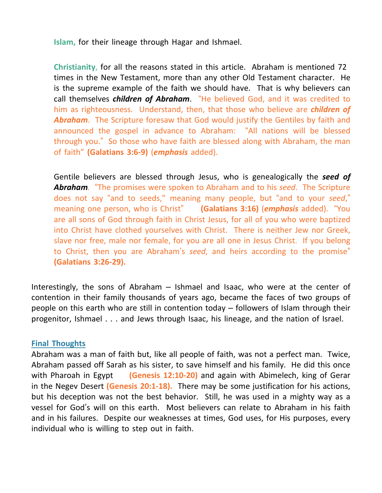**Islam,** for their lineage through Hagar and Ishmael.

**Christianity**, for all the reasons stated in this article. Abraham is mentioned 72 times in the New Testament, more than any other Old Testament character. He is the supreme example of the faith we should have. That is why believers can call themselves *children of Abraham*. "He believed God, and it was credited to him as righteousness. Understand, then, that those who believe are *children of Abraham*. The Scripture foresaw that God would justify the Gentiles by faith and announced the gospel in advance to Abraham: "All nations will be blessed through you." So those who have faith are blessed along with Abraham, the man of faith" **(Galatians 3:6-9)** (*emphasis* added).

Gentile believers are blessed through Jesus, who is genealogically the *seed of Abraham.* "The promises were spoken to Abraham and to his *seed*. The Scripture does not say "and to seeds," meaning many people, but "and to your *seed*," meaning one person, who is Christ" **(Galatians 3:16)** (*emphasis* added). "You are all sons of God through faith in Christ Jesus, for all of you who were baptized into Christ have clothed yourselves with Christ. There is neither Jew nor Greek, slave nor free, male nor female, for you are all one in Jesus Christ. If you belong to Christ, then you are Abraham's *seed*, and heirs according to the promise" **(Galatians 3:26-29).**

Interestingly, the sons of Abraham – Ishmael and Isaac, who were at the center of contention in their family thousands of years ago, became the faces of two groups of people on this earth who are still in contention today – followers of Islam through their progenitor, Ishmael . . . and Jews through Isaac, his lineage, and the nation of Israel.

### **Final Thoughts**

Abraham was a man of faith but, like all people of faith, was not a perfect man. Twice, Abraham passed off Sarah as his sister, to save himself and his family. He did this once with Pharoah in Egypt **(Genesis 12:10-20)** and again with Abimelech, king of Gerar in the Negev Desert **(Genesis 20:1-18).** There may be some justification for his actions, but his deception was not the best behavior. Still, he was used in a mighty way as a vessel for God's will on this earth. Most believers can relate to Abraham in his faith and in his failures. Despite our weaknesses at times, God uses, for His purposes, every individual who is willing to step out in faith.